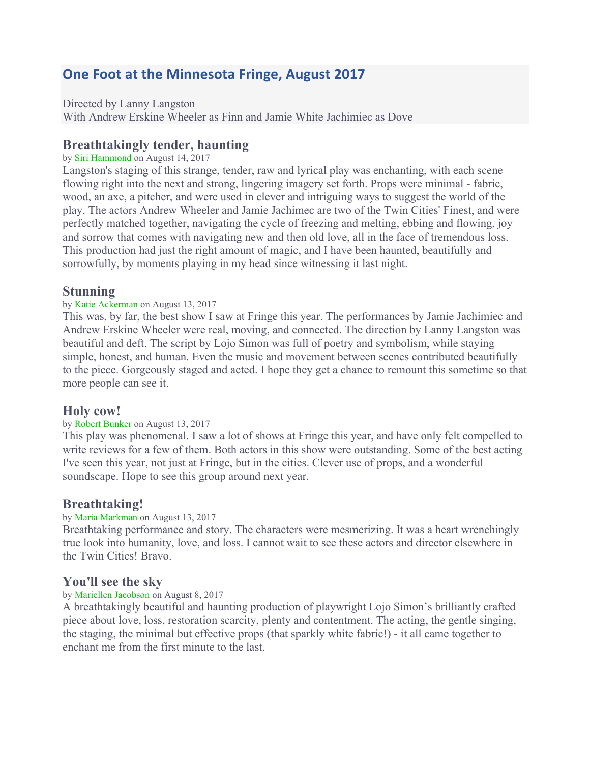# **One Foot at the Minnesota Fringe, August 2017**

Directed by Lanny Langston

With Andrew Erskine Wheeler as Finn and Jamie White Jachimiec as Dove

## **Breathtakingly tender, haunting**

by Siri Hammond on August 14, 2017

Langston's staging of this strange, tender, raw and lyrical play was enchanting, with each scene flowing right into the next and strong, lingering imagery set forth. Props were minimal - fabric, wood, an axe, a pitcher, and were used in clever and intriguing ways to suggest the world of the play. The actors Andrew Wheeler and Jamie Jachimec are two of the Twin Cities' Finest, and were perfectly matched together, navigating the cycle of freezing and melting, ebbing and flowing, joy and sorrow that comes with navigating new and then old love, all in the face of tremendous loss. This production had just the right amount of magic, and I have been haunted, beautifully and sorrowfully, by moments playing in my head since witnessing it last night.

### **Stunning**

#### by Katie Ackerman on August 13, 2017

This was, by far, the best show I saw at Fringe this year. The performances by Jamie Jachimiec and Andrew Erskine Wheeler were real, moving, and connected. The direction by Lanny Langston was beautiful and deft. The script by Lojo Simon was full of poetry and symbolism, while staying simple, honest, and human. Even the music and movement between scenes contributed beautifully to the piece. Gorgeously staged and acted. I hope they get a chance to remount this sometime so that more people can see it.

### **Holy cow!**

#### by Robert Bunker on August 13, 2017

This play was phenomenal. I saw a lot of shows at Fringe this year, and have only felt compelled to write reviews for a few of them. Both actors in this show were outstanding. Some of the best acting I've seen this year, not just at Fringe, but in the cities. Clever use of props, and a wonderful soundscape. Hope to see this group around next year.

### **Breathtaking!**

#### by Maria Markman on August 13, 2017

Breathtaking performance and story. The characters were mesmerizing. It was a heart wrenchingly true look into humanity, love, and loss. I cannot wait to see these actors and director elsewhere in the Twin Cities! Bravo.

### **You'll see the sky**

#### by Mariellen Jacobson on August 8, 2017

A breathtakingly beautiful and haunting production of playwright Lojo Simon's brilliantly crafted piece about love, loss, restoration scarcity, plenty and contentment. The acting, the gentle singing, the staging, the minimal but effective props (that sparkly white fabric!) - it all came together to enchant me from the first minute to the last.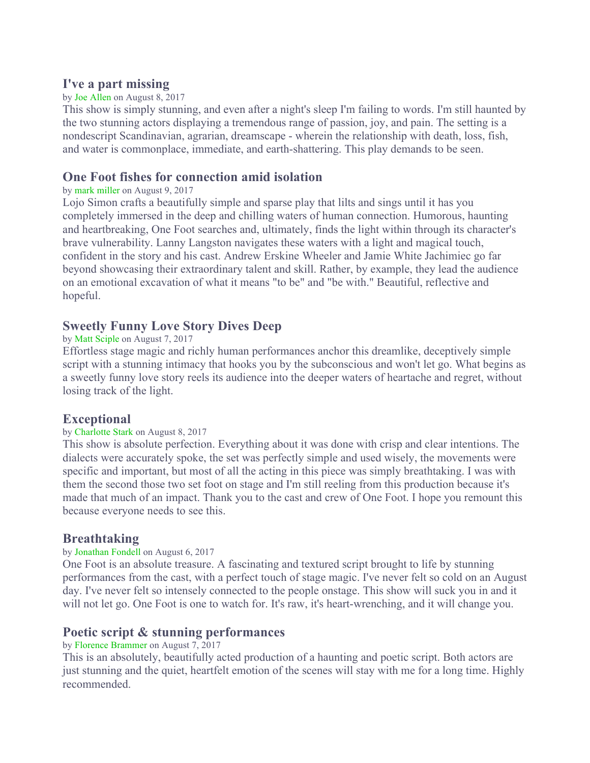## **I've a part missing**

#### by Joe Allen on August 8, 2017

This show is simply stunning, and even after a night's sleep I'm failing to words. I'm still haunted by the two stunning actors displaying a tremendous range of passion, joy, and pain. The setting is a nondescript Scandinavian, agrarian, dreamscape - wherein the relationship with death, loss, fish, and water is commonplace, immediate, and earth-shattering. This play demands to be seen.

### **One Foot fishes for connection amid isolation**

#### by mark miller on August 9, 2017

Lojo Simon crafts a beautifully simple and sparse play that lilts and sings until it has you completely immersed in the deep and chilling waters of human connection. Humorous, haunting and heartbreaking, One Foot searches and, ultimately, finds the light within through its character's brave vulnerability. Lanny Langston navigates these waters with a light and magical touch, confident in the story and his cast. Andrew Erskine Wheeler and Jamie White Jachimiec go far beyond showcasing their extraordinary talent and skill. Rather, by example, they lead the audience on an emotional excavation of what it means "to be" and "be with." Beautiful, reflective and hopeful.

### **Sweetly Funny Love Story Dives Deep**

#### by Matt Sciple on August 7, 2017

Effortless stage magic and richly human performances anchor this dreamlike, deceptively simple script with a stunning intimacy that hooks you by the subconscious and won't let go. What begins as a sweetly funny love story reels its audience into the deeper waters of heartache and regret, without losing track of the light.

### **Exceptional**

#### by Charlotte Stark on August 8, 2017

This show is absolute perfection. Everything about it was done with crisp and clear intentions. The dialects were accurately spoke, the set was perfectly simple and used wisely, the movements were specific and important, but most of all the acting in this piece was simply breathtaking. I was with them the second those two set foot on stage and I'm still reeling from this production because it's made that much of an impact. Thank you to the cast and crew of One Foot. I hope you remount this because everyone needs to see this.

### **Breathtaking**

#### by Jonathan Fondell on August 6, 2017

One Foot is an absolute treasure. A fascinating and textured script brought to life by stunning performances from the cast, with a perfect touch of stage magic. I've never felt so cold on an August day. I've never felt so intensely connected to the people onstage. This show will suck you in and it will not let go. One Foot is one to watch for. It's raw, it's heart-wrenching, and it will change you.

### **Poetic script & stunning performances**

#### by Florence Brammer on August 7, 2017

This is an absolutely, beautifully acted production of a haunting and poetic script. Both actors are just stunning and the quiet, heartfelt emotion of the scenes will stay with me for a long time. Highly recommended.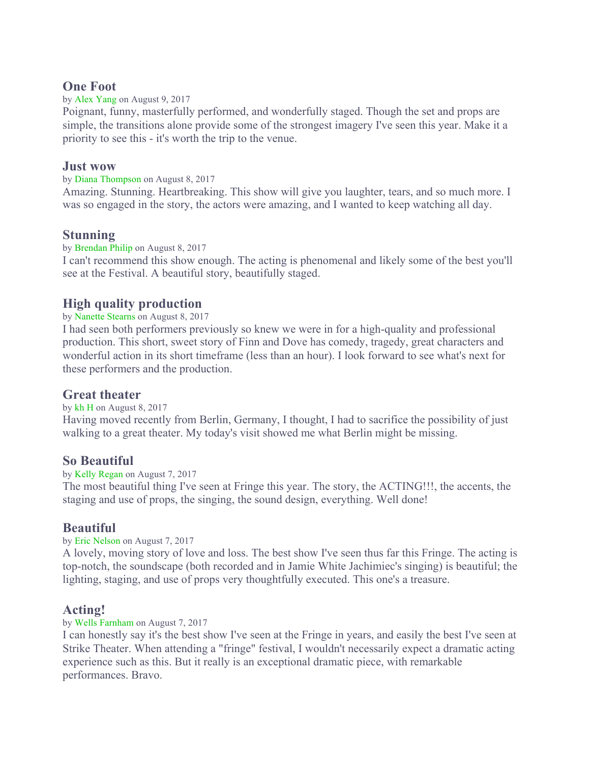### **One Foot**

by Alex Yang on August 9, 2017

Poignant, funny, masterfully performed, and wonderfully staged. Though the set and props are simple, the transitions alone provide some of the strongest imagery I've seen this year. Make it a priority to see this - it's worth the trip to the venue.

### **Just wow**

#### by Diana Thompson on August 8, 2017

Amazing. Stunning. Heartbreaking. This show will give you laughter, tears, and so much more. I was so engaged in the story, the actors were amazing, and I wanted to keep watching all day.

## **Stunning**

#### by Brendan Philip on August 8, 2017

I can't recommend this show enough. The acting is phenomenal and likely some of the best you'll see at the Festival. A beautiful story, beautifully staged.

## **High quality production**

#### by Nanette Stearns on August 8, 2017

I had seen both performers previously so knew we were in for a high-quality and professional production. This short, sweet story of Finn and Dove has comedy, tragedy, great characters and wonderful action in its short timeframe (less than an hour). I look forward to see what's next for these performers and the production.

## **Great theater**

#### by kh H on August 8, 2017

Having moved recently from Berlin, Germany, I thought, I had to sacrifice the possibility of just walking to a great theater. My today's visit showed me what Berlin might be missing.

### **So Beautiful**

#### by Kelly Regan on August 7, 2017

The most beautiful thing I've seen at Fringe this year. The story, the ACTING!!!, the accents, the staging and use of props, the singing, the sound design, everything. Well done!

## **Beautiful**

#### by Eric Nelson on August 7, 2017

A lovely, moving story of love and loss. The best show I've seen thus far this Fringe. The acting is top-notch, the soundscape (both recorded and in Jamie White Jachimiec's singing) is beautiful; the lighting, staging, and use of props very thoughtfully executed. This one's a treasure.

## **Acting!**

#### by Wells Farnham on August 7, 2017

I can honestly say it's the best show I've seen at the Fringe in years, and easily the best I've seen at Strike Theater. When attending a "fringe" festival, I wouldn't necessarily expect a dramatic acting experience such as this. But it really is an exceptional dramatic piece, with remarkable performances. Bravo.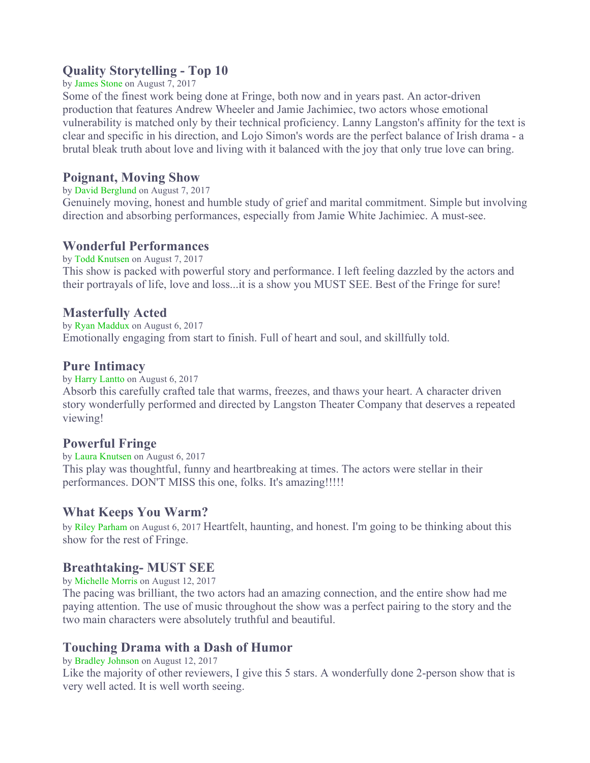## **Quality Storytelling - Top 10**

#### by James Stone on August 7, 2017

Some of the finest work being done at Fringe, both now and in years past. An actor-driven production that features Andrew Wheeler and Jamie Jachimiec, two actors whose emotional vulnerability is matched only by their technical proficiency. Lanny Langston's affinity for the text is clear and specific in his direction, and Lojo Simon's words are the perfect balance of Irish drama - a brutal bleak truth about love and living with it balanced with the joy that only true love can bring.

## **Poignant, Moving Show**

#### by David Berglund on August 7, 2017

Genuinely moving, honest and humble study of grief and marital commitment. Simple but involving direction and absorbing performances, especially from Jamie White Jachimiec. A must-see.

## **Wonderful Performances**

by Todd Knutsen on August 7, 2017 This show is packed with powerful story and performance. I left feeling dazzled by the actors and their portrayals of life, love and loss...it is a show you MUST SEE. Best of the Fringe for sure!

## **Masterfully Acted**

by Ryan Maddux on August 6, 2017 Emotionally engaging from start to finish. Full of heart and soul, and skillfully told.

### **Pure Intimacy**

by Harry Lantto on August 6, 2017

Absorb this carefully crafted tale that warms, freezes, and thaws your heart. A character driven story wonderfully performed and directed by Langston Theater Company that deserves a repeated viewing!

### **Powerful Fringe**

by Laura Knutsen on August 6, 2017 This play was thoughtful, funny and heartbreaking at times. The actors were stellar in their performances. DON'T MISS this one, folks. It's amazing!!!!!

## **What Keeps You Warm?**

by Riley Parham on August 6, 2017 Heartfelt, haunting, and honest. I'm going to be thinking about this show for the rest of Fringe.

## **Breathtaking- MUST SEE**

by Michelle Morris on August 12, 2017

The pacing was brilliant, the two actors had an amazing connection, and the entire show had me paying attention. The use of music throughout the show was a perfect pairing to the story and the two main characters were absolutely truthful and beautiful.

## **Touching Drama with a Dash of Humor**

#### by Bradley Johnson on August 12, 2017

Like the majority of other reviewers, I give this 5 stars. A wonderfully done 2-person show that is very well acted. It is well worth seeing.